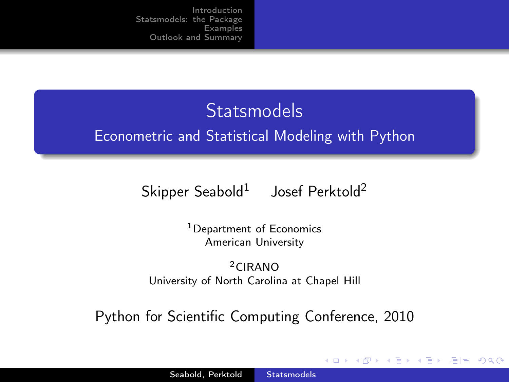# **Statsmodels** Econometric and Statistical Modeling with Python

 $\mathsf{Skipper}\ \mathsf{Seabold}^1 \quad$  Josef Perktold $^2$ 

<sup>1</sup>Department of Economics American University

<sup>2</sup>CIRANO University of North Carolina at Chapel Hill

Python for Scientific Computing Conference, 2010

<span id="page-0-0"></span> $\Omega$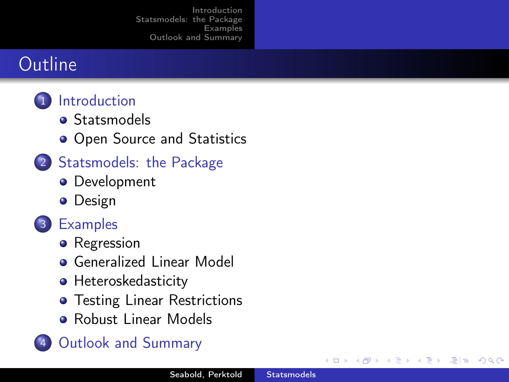#### **Outline**

- 1 [Introduction](#page-2-0)
	- **[Statsmodels](#page-2-0)**
	- [Open Source and Statistics](#page-4-0)
- 2 [Statsmodels: the Package](#page-6-0)
	- **•** [Development](#page-6-0)
	- **•** [Design](#page-8-0)
- 3 [Examples](#page-13-0)
	- [Regression](#page-13-0)
	- **[Generalized Linear Model](#page-16-0)**
	- [Heteroskedasticity](#page-18-0)
	- **•** [Testing Linear Restrictions](#page-21-0)
	- **[Robust Linear Models](#page-27-0)**

#### 4 [Outlook and Summary](#page-28-0)

 $E|E$   $\Omega$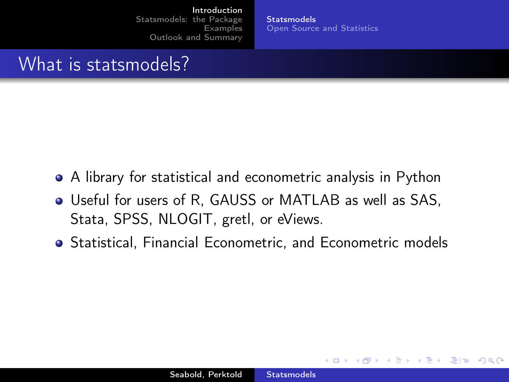**[Statsmodels](#page-2-0)** [Open Source and Statistics](#page-4-0)

<span id="page-2-0"></span> $E|E \cap Q$ 

#### What is statsmodels?

- A library for statistical and econometric analysis in Python
- Useful for users of R, GAUSS or MATLAB as well as SAS, Stata, SPSS, NLOGIT, gretl, or eViews.
- Statistical, Financial Econometric, and Econometric models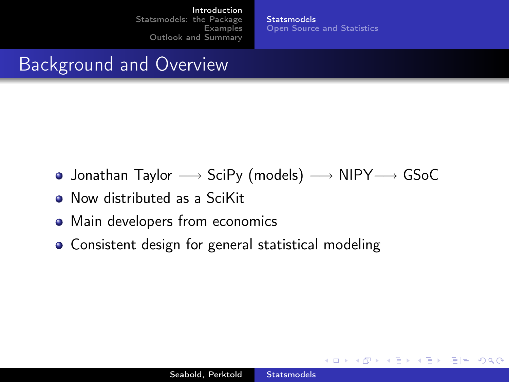**[Statsmodels](#page-2-0)** [Open Source and Statistics](#page-4-0)

4 **D** F

 $E \rightarrow E E$   $E \rightarrow Q Q$ 

## Background and Overview

- Jonathan Taylor −→ SciPy (models) −→ NIPY−→ GSoC
- Now distributed as a SciKit
- Main developers from economics
- Consistent design for general statistical modeling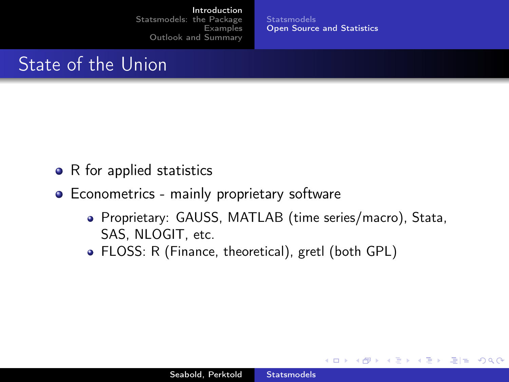**[Statsmodels](#page-2-0)** [Open Source and Statistics](#page-4-0)

 $\leftarrow$   $\Box$ 

<span id="page-4-0"></span>三日 りょい

E K

## State of the Union

- $\bullet$  R for applied statistics
- **•** Econometrics mainly proprietary software
	- Proprietary: GAUSS, MATLAB (time series/macro), Stata, SAS, NLOGIT, etc.
	- FLOSS: R (Finance, theoretical), gretl (both GPL)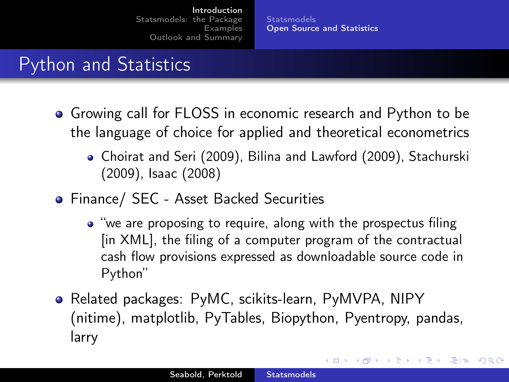**[Statsmodels](#page-2-0)** [Open Source and Statistics](#page-4-0)

KH → K 그 → K 그 → 그님 → YO →

## Python and Statistics

- Growing call for FLOSS in economic research and Python to be the language of choice for applied and theoretical econometrics
	- Choirat and Seri (2009), Bilina and Lawford (2009), Stachurski (2009), Isaac (2008)
- Finance/ SEC Asset Backed Securities
	- "we are proposing to require, along with the prospectus filing [in XML], the filing of a computer program of the contractual cash flow provisions expressed as downloadable source code in Python"
- Related packages: PyMC, scikits-learn, PyMVPA, NIPY (nitime), matplotlib, PyTables, Biopython, Pyentropy, pandas, larry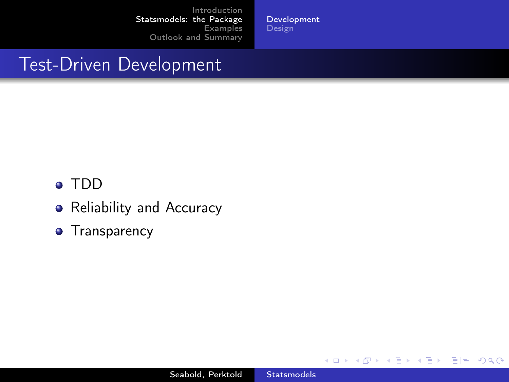[Development](#page-6-0)

## Test-Driven Development

- TDD
- Reliability and Accuracy
- **•** Transparency

4. 0. 8. ∢ 母

 $\rightarrow$ × D.  $\mathcal{A}$  $\rightarrow$ 

Ε

<span id="page-6-0"></span>信目 めすび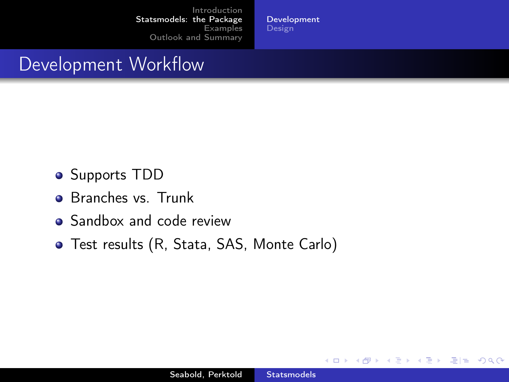[Development](#page-6-0) **[Design](#page-8-0)** 

#### Development Workflow

- **•** Supports TDD
- Branches vs. Trunk
- Sandbox and code review
- Test results (R, Stata, SAS, Monte Carlo)

€⊡

 $F = \Omega$ 

э -b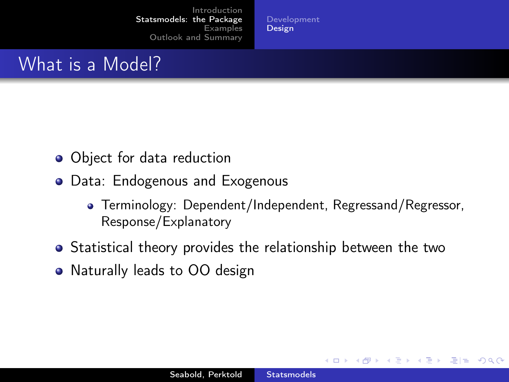[Development](#page-6-0) **[Design](#page-8-0)** 

#### What is a Model?

- Object for data reduction
- Data: Endogenous and Exogenous
	- Terminology: Dependent/Independent, Regressand/Regressor, Response/Explanatory

<span id="page-8-0"></span> $E|E \cap Q$ 

- Statistical theory provides the relationship between the two
- Naturally leads to OO design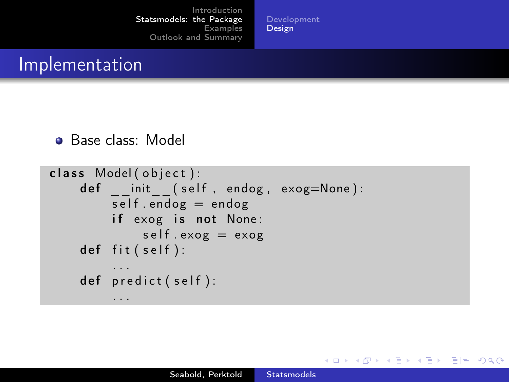[Development](#page-6-0) **[Design](#page-8-0)** 

• Base class: Model

```
class Model ( object ):
    def init ( self, endog, exog=None ):
         self. endog = endogif exog is not None:
             self. exog = exogdef fit (self):
         . . .
    def predict (self):
         . . .
```
K ロ K K ④ K K E K K E K C E H E YO Q C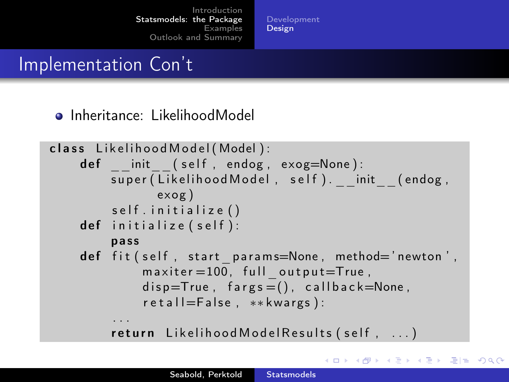[Development](#page-6-0) [Design](#page-8-0)

## Implementation Con't

Inheritance: LikelihoodModel

```
class Likelihood Model (Model):
    def init ( self, endog, exog=None ):
         super (Likelihood Model, self). init (endog,
                exog )
         self.initialize()
    def initialize (self):
         pass
    def fit \left( self, start params=None, method='newton',
             maxiter = 100, full output=True,
             disp=True, fargs = (), callback=None,
             r e t a l l = F a l s e , ** kwargs ) :
         . . .
         return Likelihood Model Results (self, ...)
```
K ロ > K A D → K 로 > K 로 → C 코 = K A Q C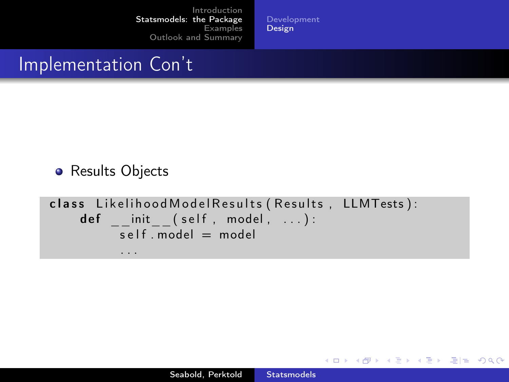[Development](#page-6-0) **[Design](#page-8-0)** 

#### Implementation Con't

**•** Results Objects

```
class Likelihood Model Results (Results, LLMTests):
    def init ( self , model , ... ) :
          self. model = model
          . . .
```
K ロ K K @ K K ミ K K ミ K - ミ|ㄹ YO Q Q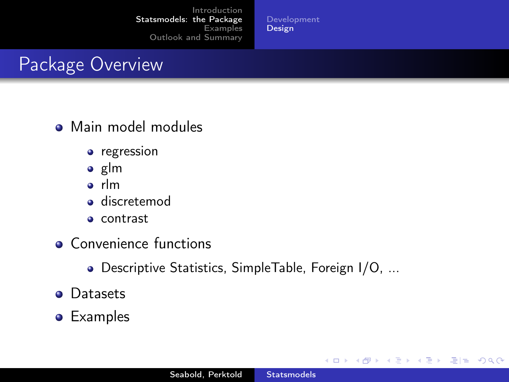[Development](#page-6-0) **[Design](#page-8-0)** 

# Package Overview

- **•** Main model modules
	- regression
	- $\bullet$  glm
	- rlm
	- **o** discretemod
	- contrast
- **Convenience functions** 
	- Descriptive Statistics, SimpleTable, Foreign I/O, ...
- **•** Datasets
- **•** Examples

4 **D F** 

<span id="page-12-0"></span>■■■ ゆすじ

э  $\rightarrow$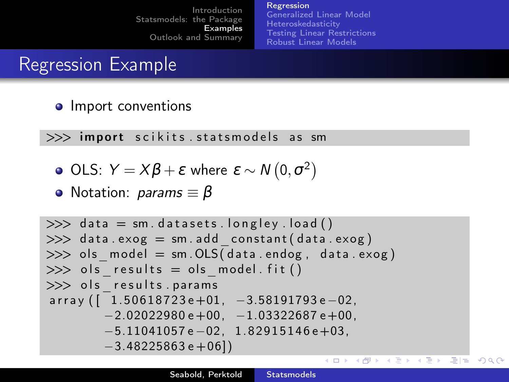<span id="page-13-0"></span>[Regression](#page-13-0) [Generalized Linear Model](#page-16-0) **[Heteroskedasticity](#page-18-0)** [Testing Linear Restrictions](#page-21-0) [Robust Linear Models](#page-27-0)

## Regression Example

• Import conventions

 $\gg$  import scikits statsmodels as sm

- OLS:  $Y = X\beta + \varepsilon$  where  $\varepsilon \sim N(0, \sigma^2)$
- Notation: *params* ≡ β

```
\gg data = sm. datasets. longley. load ()
\gg data. exog = sm. add constant ( data. exog )
\gg ols model = sm . OLS( data . endog , data . exog )
\gg ols results = ols model . fit ( )
>> ols results . params
array([11.50618723e+01, -3.58191793e-02,-2.02022980 \text{ e} + 00, -1.03322687 \text{ e} + 00.
         −5.11041057 e −02, 1. 8 2 9 1 5 1 4 6 e+03,
         -3.48225863e + 06]K ロ K K @ K K 동 K X 동 K (동) N 동(동) ◇ Q ⊙
```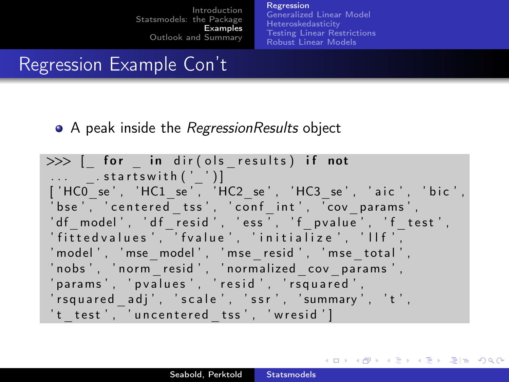[Regression](#page-13-0) [Generalized Linear Model](#page-16-0) [Heteroskedasticity](#page-18-0) [Testing Linear Restrictions](#page-21-0) [Robust Linear Models](#page-27-0)

<span id="page-14-0"></span>K ロ K K ④ K K E K K E K C E H E YO Q C

## Regression Example Con't

A peak inside the *RegressionResults* object

```
\gg [ for in dir ( ols results ) if not
\ldots startswith ('')]
['HC0_se', 'HC1_se', 'HC2_se', 'HC3_se', 'aic', 'bic',
'bse', 'centered tss', 'conf int', 'cov params',
'df model', 'df resid', 'ess', 'f p value', 'f test',
' fitted values', 'fvalue', 'initialize', 'llf',
' model', 'mse model', 'mse resid', 'mse total',
'nobs', 'norm resid', 'normalized cov params',
' params', ' p v a l u e s', ' r e s i d', ' r s q u a r e d',
' rsquared adj', 'scale', 'ssr', 'summary', 't',
't test', 'uncentered tss', 'wresid']
```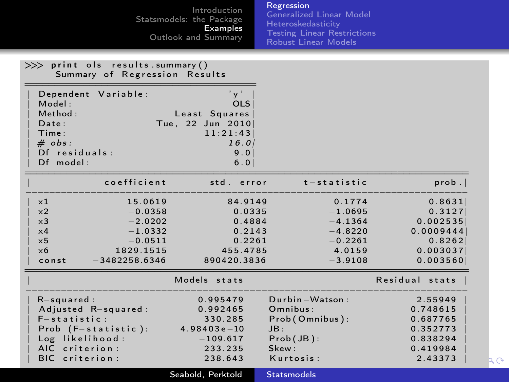<span id="page-15-0"></span>

|                                                                                           |                                                                                             | Introduction<br>Statsmodels: the Package<br>Examples<br>Outlook and Summary                          | Regression<br><b>Generalized Linear Model</b><br>Heteroskedasticity<br><b>Testing Linear Restrictions</b><br><b>Robust Linear Models</b> |                                                                                                  |    |
|-------------------------------------------------------------------------------------------|---------------------------------------------------------------------------------------------|------------------------------------------------------------------------------------------------------|------------------------------------------------------------------------------------------------------------------------------------------|--------------------------------------------------------------------------------------------------|----|
| >>> print ols results.summary()<br>Summary of Regression Results                          |                                                                                             |                                                                                                      |                                                                                                                                          |                                                                                                  |    |
| Model:<br>Method:<br>Date:<br>Time:<br>$# \; obs:$<br>$Df$ residuals:<br>Df model:        | Dependent Variable:                                                                         | $'$ y $'$<br><b>OLS</b><br>Least Squares<br>Tue, 22 Jun 2010<br>11:21:43<br>16.01<br>9.0<br>6.0      |                                                                                                                                          |                                                                                                  |    |
|                                                                                           | coefficient                                                                                 | std. error                                                                                           | $t -$ statistic                                                                                                                          | prob.                                                                                            |    |
| $\times 1$<br>$\times 2$<br>$\times$ 3<br>$\times 4$<br>$\times$ 5<br>$\times 6$<br>const | 15.0619<br>$-0.0358$<br>$-2.0202$<br>$-1.0332$<br>$-0.0511$<br>1829.1515<br>$-3482258.6346$ | 84.9149<br>0.0335<br>0.4884<br>0.2143<br>0.2261<br>455.4785<br>890420.3836                           | 0.1774<br>$-1.0695$<br>$-4.1364$<br>$-4.8220$<br>$-0.2261$<br>4.0159<br>$-3.9108$                                                        | 0.8631<br>0.3127<br>0.002535<br>0.0009444<br>0.8262<br>0.003037<br>0.003560                      |    |
| $R$ -squared:<br>$F -$ statistic:<br>Log likelihood:<br>AIC criterion:<br>BIC criterion:  | Adjusted R-squared:<br>$Prob$ $(F - statistic)$ :                                           | Models stats<br>0.995479<br>0.992465<br>330.285<br>$4.98403e-10$<br>$-109.617$<br>233.235<br>238.643 | Durbin-Watson:<br>Omnibus:<br>Prob(Omnibus):<br>JB:<br>$Prob(JB)$ :<br>Skew:<br>Kurtosis:                                                | Residual stats<br>2.55949<br>0.748615<br>0.687765<br>0.352773<br>0.838294<br>0.419984<br>2.43373 | RΘ |
|                                                                                           |                                                                                             | Seabold, Perktold                                                                                    | <b>Statsmodels</b>                                                                                                                       |                                                                                                  |    |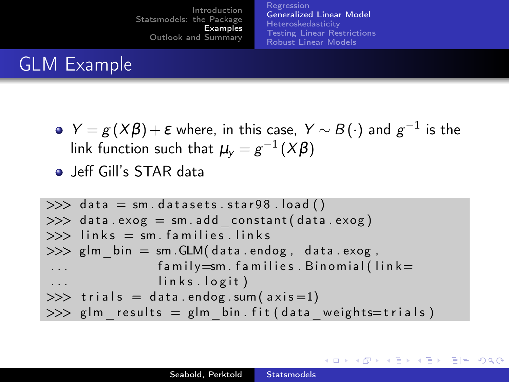[Regression](#page-13-0) [Generalized Linear Model](#page-16-0) [Heteroskedasticity](#page-18-0) [Testing Linear Restrictions](#page-21-0) [Robust Linear Models](#page-27-0)

<span id="page-16-0"></span>K ロ K K ④ K K ミ K K E K 그러는 K G Q Q

# GLM Example

- *Y* =  $g(X\beta)$  +  $\varepsilon$  where, in this case, *Y* ∼  $B(\cdot)$  and  $g^{-1}$  is the link function such that  $\mu_y = g^{-1}(X\beta)$
- Jeff Gill's STAR data

```
\gg data = sm. datasets. star98. load ()
\gg data. exog = sm. add constant ( data. exog )
\gg links = sm. families. links
\gg glm bin = sm . GLM( data . endog, data . exog,
                fa mily=sm. fa milies. Binomial (\lim k=links. logit)
\gg trials = data.endog.sum(axis = 1)
\gg glm results = glm bin fit ( data weights = trials )
```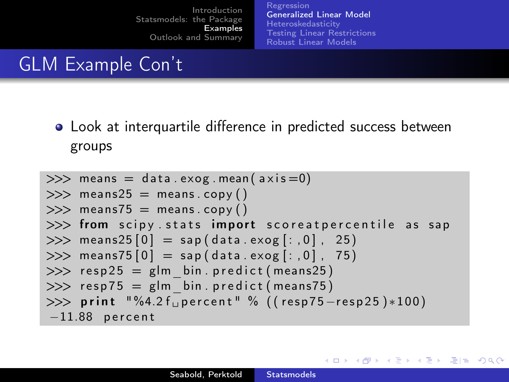[Regression](#page-13-0) [Generalized Linear Model](#page-16-0) **[Heteroskedasticity](#page-18-0)** [Testing Linear Restrictions](#page-21-0) [Robust Linear Models](#page-27-0)

**K ロ ▶ K 御 ▶ K K** 

∍

**SIL**  $\rightarrow$  $\rightarrow$   $F = \Omega$ 

# GLM Example Con't

Look at interquartile difference in predicted success between groups

>>> means = d a t a . exog . mean ( a x i s =0) >>> means25 = means . copy ( ) >>> means75 = means . copy ( ) >>> from s c i p y . s t a t s im p o r t s c o r e a t p e r c e n t i l e a s sa p >>> means25 [ 0 ] = sa p ( d a t a . exog [ : , 0 ] , 25 ) >>> means75 [ 0 ] = sa p ( d a t a . exog [ : , 0 ] , 75 ) >>> r e s p 2 5 = glm\_bin . p r e d i c t ( means25 ) >>> r e s p 7 5 = glm\_bin . p r e d i c t ( means75 ) >>> p r i n t "%4.2 f ␣ p e r c e n t " % ( ( r e s p 7 5−r e s p 2 5 )∗1 0 0 ) −11.88 p e r c e n t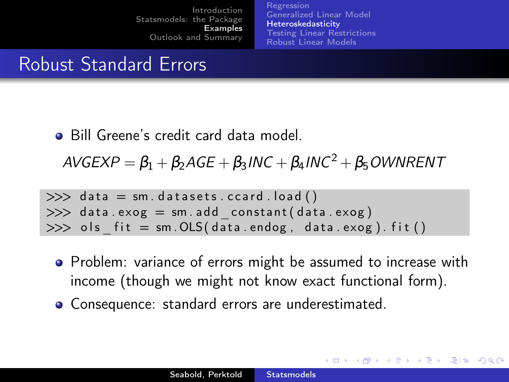[Regression](#page-13-0) [Generalized Linear Model](#page-16-0) [Heteroskedasticity](#page-18-0) [Testing Linear Restrictions](#page-21-0) [Robust Linear Models](#page-27-0)

<span id="page-18-0"></span>K ロ ▶ K 何 ▶ K 로 ▶ K 로 ▶ 그리는 K) Q (^

## Robust Standard Errors

**Bill Greene's credit card data model.** 

 $AVGEXP = \beta_1 + \beta_2AGE + \beta_3INC + \beta_4INC^2 + \beta_5 OWNRENT$ 

```
\gg data = sm. datasets. ccard. load ()
\gg data. exog = sm. add constant ( data. exog )
\gg ols fit = sm . OLS( data . endog, data . exog). fit ( )
```
- Problem: variance of errors might be assumed to increase with income (though we might not know exact functional form).
- Consequence: standard errors are underestimated.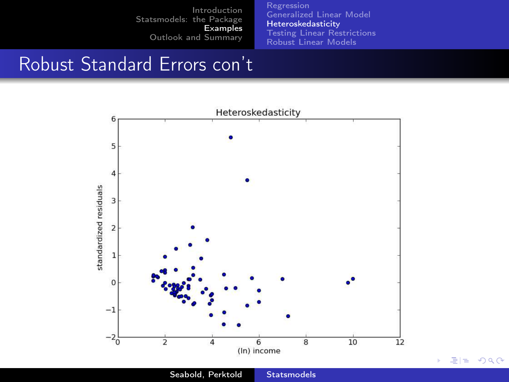[Regression](#page-13-0) [Generalized Linear Model](#page-16-0) [Heteroskedasticity](#page-18-0) [Testing Linear Restrictions](#page-21-0) [Robust Linear Models](#page-27-0)

重目 のへぐ

## Robust Standard Errors con't



Seabold, Perktold [Statsmodels](#page-0-0)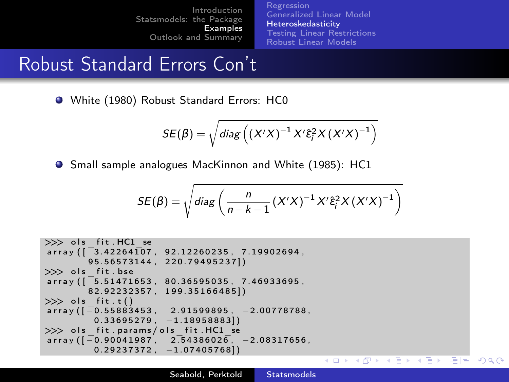[Regression](#page-13-0) [Generalized Linear Model](#page-16-0) [Heteroskedasticity](#page-18-0) [Testing Linear Restrictions](#page-21-0) [Robust Linear Models](#page-27-0)

## Robust Standard Errors Con't

White (1980) Robust Standard Errors: HC0

$$
SE(\beta) = \sqrt{diag\left((X'X)^{-1}X'\hat{\epsilon}_i^2X(X'X)^{-1}\right)}
$$

**O** Small sample analogues MacKinnon and White (1985): HC1

$$
SE(\beta) = \sqrt{diag\left(\frac{n}{n-k-1}(X'X)^{-1}X'\hat{\varepsilon}_i^2X(X'X)^{-1}\right)}
$$

```
>> ols fit . HC1 se
array([3, 42264107, 92.12260235, 7.19902694]9 5 . 5 6 5 7 3 1 4 4 , 2 2 0 . 7 9 4 9 5 2 3 7 ] )
\gg ols fit . bse
array([ 5.51471653, 80.36595035, 7.46933695,8 2 . 9 2 2 3 2 3 5 7 , 1 9 9 . 3 5 1 6 6 4 8 5 ] )
\gg ols fit .t ()array([ -0.55883453, 2.91599895, -2.00778788,0.33695279, -1.189588831\gg ols fit . params/ols fit . HC1 se
array (\overline{) -0.90041987}, 2.54386026, -2.08317656,
         0.29237372, -1.074057681K ロ > K A D → K 로 > K 로 → C 코 = K A Q C
```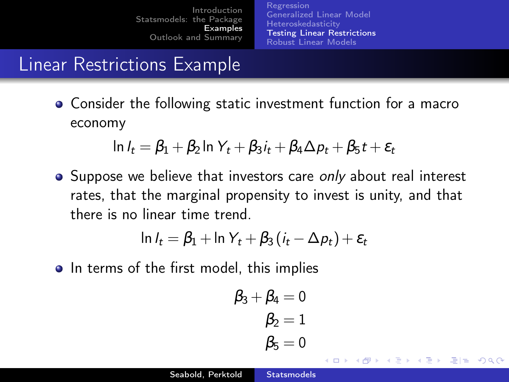[Regression](#page-13-0) [Generalized Linear Model](#page-16-0) [Heteroskedasticity](#page-18-0) [Testing Linear Restrictions](#page-21-0) [Robust Linear Models](#page-27-0)

## Linear Restrictions Example

Consider the following static investment function for a macro economy

$$
\ln I_t = \beta_1 + \beta_2 \ln Y_t + \beta_3 i_t + \beta_4 \Delta p_t + \beta_5 t + \varepsilon_t
$$

**•** Suppose we believe that investors care *only* about real interest rates, that the marginal propensity to invest is unity, and that there is no linear time trend.

$$
\ln l_t = \beta_1 + \ln Y_t + \beta_3 (i_t - \Delta p_t) + \varepsilon_t
$$

• In terms of the first model, this implies

$$
\begin{aligned} \beta_3+\beta_4&=0\\ \beta_2&=1\\ \beta_5&=0 \end{aligned}
$$

<span id="page-21-0"></span> $E|E$   $\Omega$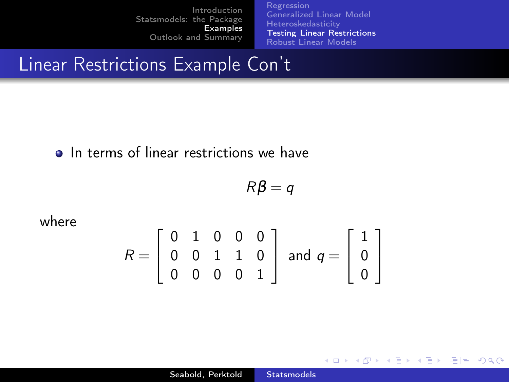[Regression](#page-13-0) [Generalized Linear Model](#page-16-0) **[Heteroskedasticity](#page-18-0)** [Testing Linear Restrictions](#page-21-0) [Robust Linear Models](#page-27-0)

**K ロ ▶ K 御 ▶ K K** 

重

 $\rightarrow$  4  $\equiv$   $\rightarrow$   $\equiv$   $\equiv$   $\rightarrow$   $\cap$   $\cap$   $\cap$ 

## Linear Restrictions Example Con't

#### • In terms of linear restrictions we have

$$
R\beta = q
$$

where

$$
R = \left[ \begin{array}{rrrr} 0 & 1 & 0 & 0 & 0 \\ 0 & 0 & 1 & 1 & 0 \\ 0 & 0 & 0 & 0 & 1 \end{array} \right] \text{ and } q = \left[ \begin{array}{c} 1 \\ 0 \\ 0 \end{array} \right]
$$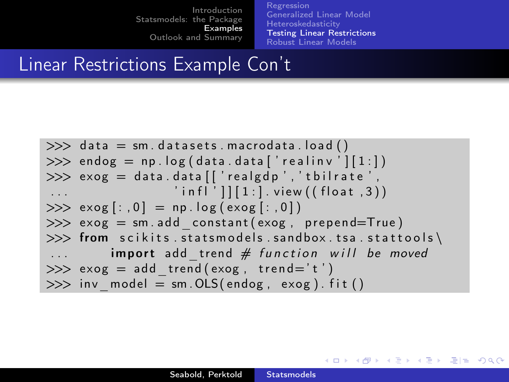[Regression](#page-13-0) [Generalized Linear Model](#page-16-0) [Heteroskedasticity](#page-18-0) [Testing Linear Restrictions](#page-21-0) [Robust Linear Models](#page-27-0)

K ロ > K A D → K 로 > K 로 → C 코 = K A Q C

## Linear Restrictions Example Con't

```
\gg data = sm. datasets. macrodata. load ()
\gg endog = np. log(data.data['realinv'][1:])\gg exog = data.data [['realgdp','tbilrate'.
                  ' in f | ' | | [ 1 : ] . view ((float, 3))
>> exog [:, 0] = np.log(exog[:, 0])\gg exog = sm. add constant ( exog , prepend=True )
\gg from scikits statsmodels sandbox tsa stattools
         import add trend # function will be moved
\gg exog = add trend ( exog , trend ='t')
\gg inv model = sm . OLS( endog, exog). fit ()
```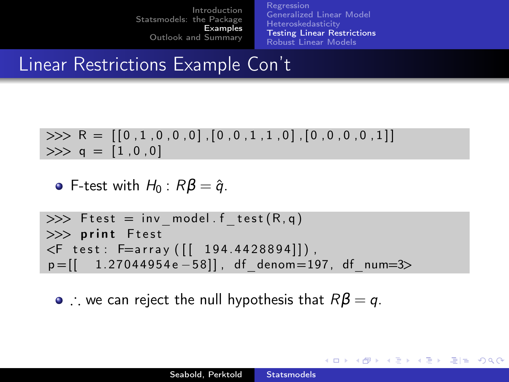[Regression](#page-13-0) [Generalized Linear Model](#page-16-0) [Heteroskedasticity](#page-18-0) [Testing Linear Restrictions](#page-21-0) [Robust Linear Models](#page-27-0)

K ロ K K ④ K K E K K E K C E H E YO Q C

## Linear Restrictions Example Con't

>>> 
$$
R = [[0,1,0,0,0],[0,0,1,1,0],[0,0,0,0,1]]
$$
  
>>  $q = [1,0,0]$ 

**o** F-test with  $H_0$ :  $R\beta = \hat{q}$ .

```
\gg Ftest = inv model f test (R, q)\gg print Ftest
\leqF test: F=array ([ 194.4428894]]),
p = [[ 1.27044954 e −58]], df denom = 197, df num=3>
```
•  $\therefore$  we can reject the null hypothesis that  $R\beta = q$ .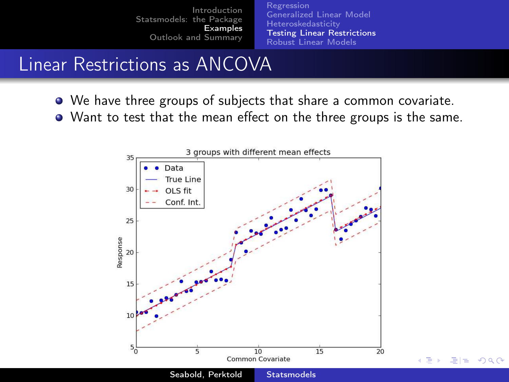<span id="page-25-0"></span>[Regression](#page-13-0) [Generalized Linear Model](#page-16-0) **[Heteroskedasticity](#page-18-0)** [Testing Linear Restrictions](#page-21-0) [Robust Linear Models](#page-27-0)

# Linear Restrictions as ANCOVA

- We have three groups of subjects that share a common covariate.
- Want to test that the mean effect on the three groups is the same.

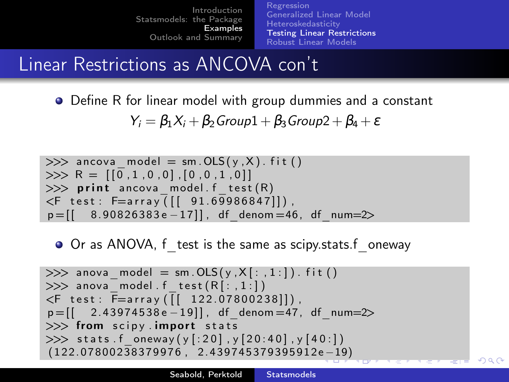[Regression](#page-13-0) [Generalized Linear Model](#page-16-0) **[Heteroskedasticity](#page-18-0)** [Testing Linear Restrictions](#page-21-0) [Robust Linear Models](#page-27-0)

## Linear Restrictions as ANCOVA con't

**•** Define R for linear model with group dummies and a constant  $Y_i = \beta_1 X_i + \beta_2$  Group1 +  $\beta_3$  Group2 +  $\beta_4 + \varepsilon$ 

>>> ancova\_model = sm . OLS ( y , X ) . f i t ( ) >>> R = [ [ 0 , 1 , 0 , 0 ] , [ 0 , 0 , 1 , 0 ] ] >>> p r i n t ancova\_model . f \_ t e s t (R) <F t e s t : F=a r r a y ( [ [ 9 1. 6 9 9 8 6 8 4 7 ] ] ) , p = [ [ 8. 9 0 8 2 6 3 8 3 e −1 7 ] ] , df\_denom =46, df\_num=2>

O Or as ANOVA, f test is the same as scipy.stats.f oneway

>>> anova\_model = sm . OLS ( y , X [ : , 1 : ] ) . f i t ( ) >>> anova\_model . f \_ t e s t (R [ : , 1 : ] ) <F t e s t : F=a r r a y ( [ [ 1 2 2. 0 7 8 0 0 2 3 8 ] ] ) , p = [ [ 2. 4 3 9 7 4 5 3 8 e −1 9 ] ] , df\_denom =47, df\_num=2> >>> from s c i p y . impo r t s t a t s >>> s t a t s . f\_oneway ( y [ : 2 0 ] , y [ 2 0 : 4 0 ] , y [ 4 0 : ] ) ( 1 2 2. 0 7 8 0 0 2 3 8 3 7 9 9 7 6 , 2. 4 3 9 7 4 5 3 7 9 3 9 5 9 1 2e [−](#page-25-0)1[9\)](#page-27-0)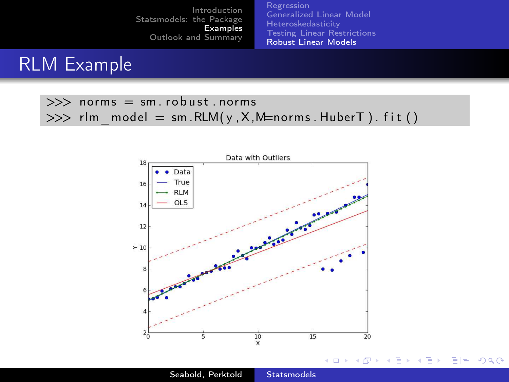[Regression](#page-13-0) [Generalized Linear Model](#page-16-0) [Heteroskedasticity](#page-18-0) [Testing Linear Restrictions](#page-21-0) [Robust Linear Models](#page-27-0)

Ε

Þ.  $\rightarrow$  $\rightarrow$  <span id="page-27-0"></span>信目 めすび

## RLM Example

#### $\gg$  norms = sm. robust. norms  $\gg$  rlm model = sm . RLM( y , X, M=norms . HuberT ) . f it ( )



Seabold, Perktold [Statsmodels](#page-0-0)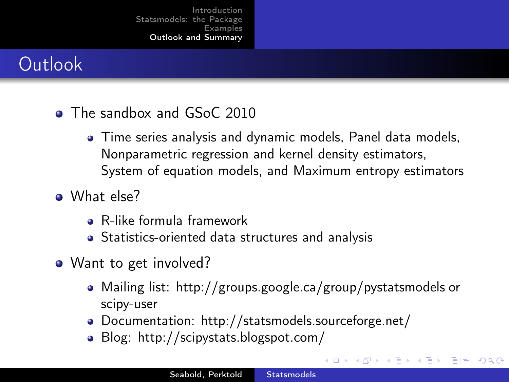## **Outlook**

#### • The sandbox and GSoC 2010

- Time series analysis and dynamic models, Panel data models, Nonparametric regression and kernel density estimators, System of equation models, and Maximum entropy estimators
- A What else?
	- R-like formula framework
	- Statistics-oriented data structures and analysis
- Want to get involved?
	- Mailing list: http://groups.google.ca/group/pystatsmodels or scipy-user

<span id="page-28-0"></span> $E^*$   $E^* = 0.99$ 

- Documentation: http://statsmodels.sourceforge.net/
- Blog: http://scipystats.blogspot.com/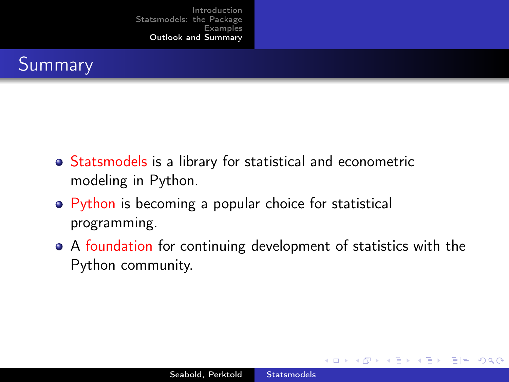

- Statsmodels is a library for statistical and econometric modeling in Python.
- Python is becoming a popular choice for statistical programming.
- A foundation for continuing development of statistics with the Python community.

<span id="page-29-0"></span> $E|E \cap Q$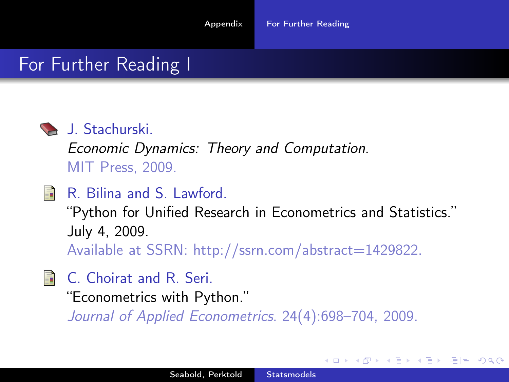#### For Further Reading I



#### J. Stachurski.

*Economic Dynamics: Theory and Computation*. MIT Press, 2009.

R. Bilina and S. Lawford.

"Python for Unified Research in Econometrics and Statistics." July 4, 2009.

Available at SSRN: http://ssrn.com/abstract=1429822.

- **C.** Choirat and R. Seri.
	- "Econometrics with Python."

<span id="page-30-0"></span>*Journal of Applied Econometrics*. 24(4):698–704, 2009.